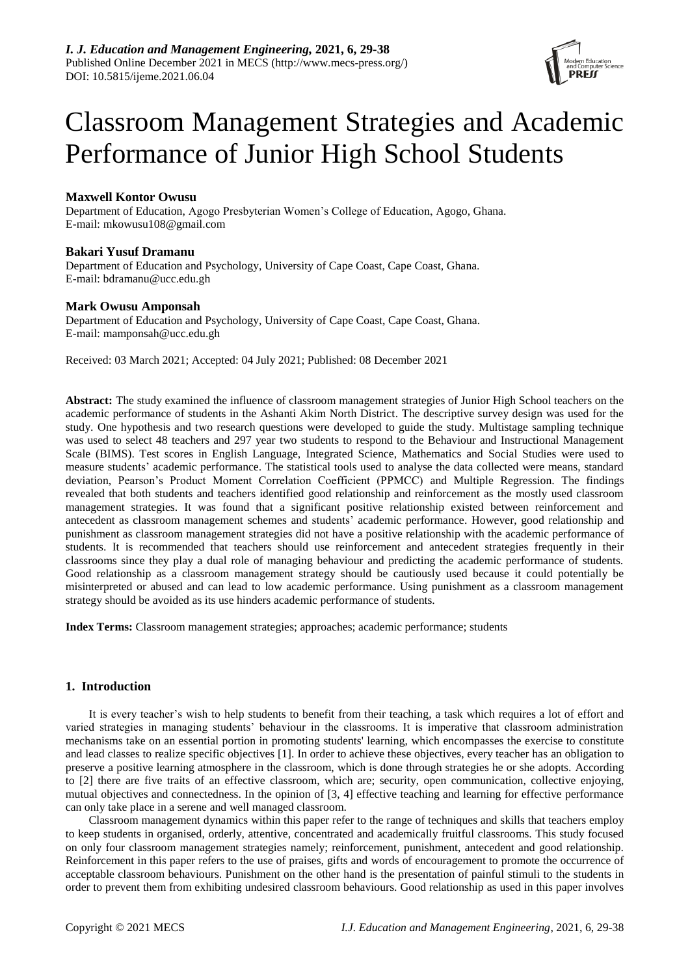

# Classroom Management Strategies and Academic Performance of Junior High School Students

# **Maxwell Kontor Owusu**

Department of Education, Agogo Presbyterian Women's College of Education, Agogo, Ghana. E-mail: mkowusu108@gmail.com

# **Bakari Yusuf Dramanu**

Department of Education and Psychology, University of Cape Coast, Cape Coast, Ghana. E-mail: bdramanu@ucc.edu.gh

# **Mark Owusu Amponsah**

Department of Education and Psychology, University of Cape Coast, Cape Coast, Ghana. E-mail: mamponsah@ucc.edu.gh

Received: 03 March 2021; Accepted: 04 July 2021; Published: 08 December 2021

**Abstract:** The study examined the influence of classroom management strategies of Junior High School teachers on the academic performance of students in the Ashanti Akim North District. The descriptive survey design was used for the study. One hypothesis and two research questions were developed to guide the study. Multistage sampling technique was used to select 48 teachers and 297 year two students to respond to the Behaviour and Instructional Management Scale (BIMS). Test scores in English Language, Integrated Science, Mathematics and Social Studies were used to measure students' academic performance. The statistical tools used to analyse the data collected were means, standard deviation, Pearson's Product Moment Correlation Coefficient (PPMCC) and Multiple Regression. The findings revealed that both students and teachers identified good relationship and reinforcement as the mostly used classroom management strategies. It was found that a significant positive relationship existed between reinforcement and antecedent as classroom management schemes and students' academic performance. However, good relationship and punishment as classroom management strategies did not have a positive relationship with the academic performance of students. It is recommended that teachers should use reinforcement and antecedent strategies frequently in their classrooms since they play a dual role of managing behaviour and predicting the academic performance of students. Good relationship as a classroom management strategy should be cautiously used because it could potentially be misinterpreted or abused and can lead to low academic performance. Using punishment as a classroom management strategy should be avoided as its use hinders academic performance of students.

**Index Terms:** Classroom management strategies; approaches; academic performance; students

# **1. Introduction**

It is every teacher's wish to help students to benefit from their teaching, a task which requires a lot of effort and varied strategies in managing students' behaviour in the classrooms. It is imperative that classroom administration mechanisms take on an essential portion in promoting students' learning, which encompasses the exercise to constitute and lead classes to realize specific objectives [1]. In order to achieve these objectives, every teacher has an obligation to preserve a positive learning atmosphere in the classroom, which is done through strategies he or she adopts. According to [2] there are five traits of an effective classroom, which are; security, open communication, collective enjoying, mutual objectives and connectedness. In the opinion of [3, 4] effective teaching and learning for effective performance can only take place in a serene and well managed classroom.

Classroom management dynamics within this paper refer to the range of techniques and skills that teachers employ to keep students in organised, orderly, attentive, concentrated and academically fruitful classrooms. This study focused on only four classroom management strategies namely; reinforcement, punishment, antecedent and good relationship. Reinforcement in this paper refers to the use of praises, gifts and words of encouragement to promote the occurrence of acceptable classroom behaviours. Punishment on the other hand is the presentation of painful stimuli to the students in order to prevent them from exhibiting undesired classroom behaviours. Good relationship as used in this paper involves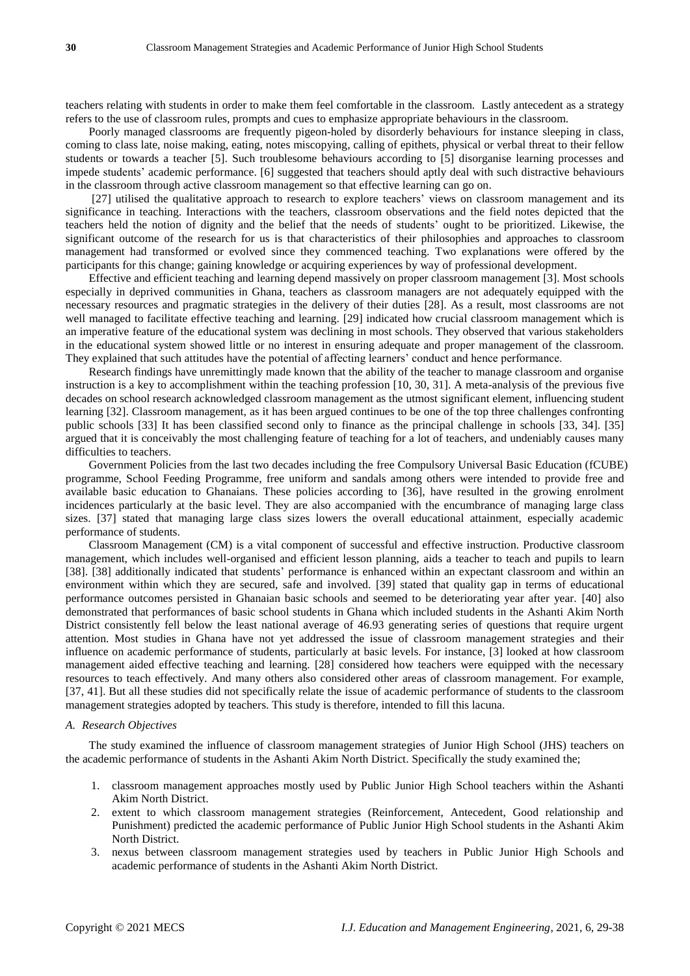teachers relating with students in order to make them feel comfortable in the classroom. Lastly antecedent as a strategy refers to the use of classroom rules, prompts and cues to emphasize appropriate behaviours in the classroom.

Poorly managed classrooms are frequently pigeon-holed by disorderly behaviours for instance sleeping in class, coming to class late, noise making, eating, notes miscopying, calling of epithets, physical or verbal threat to their fellow students or towards a teacher [5]. Such troublesome behaviours according to [5] disorganise learning processes and impede students' academic performance. [6] suggested that teachers should aptly deal with such distractive behaviours in the classroom through active classroom management so that effective learning can go on.

[27] utilised the qualitative approach to research to explore teachers' views on classroom management and its significance in teaching. Interactions with the teachers, classroom observations and the field notes depicted that the teachers held the notion of dignity and the belief that the needs of students' ought to be prioritized. Likewise, the significant outcome of the research for us is that characteristics of their philosophies and approaches to classroom management had transformed or evolved since they commenced teaching. Two explanations were offered by the participants for this change; gaining knowledge or acquiring experiences by way of professional development.

Effective and efficient teaching and learning depend massively on proper classroom management [3]. Most schools especially in deprived communities in Ghana, teachers as classroom managers are not adequately equipped with the necessary resources and pragmatic strategies in the delivery of their duties [28]. As a result, most classrooms are not well managed to facilitate effective teaching and learning. [29] indicated how crucial classroom management which is an imperative feature of the educational system was declining in most schools. They observed that various stakeholders in the educational system showed little or no interest in ensuring adequate and proper management of the classroom. They explained that such attitudes have the potential of affecting learners' conduct and hence performance.

Research findings have unremittingly made known that the ability of the teacher to manage classroom and organise instruction is a key to accomplishment within the teaching profession [10, 30, 31]. A meta-analysis of the previous five decades on school research acknowledged classroom management as the utmost significant element, influencing student learning [32]. Classroom management, as it has been argued continues to be one of the top three challenges confronting public schools [33] It has been classified second only to finance as the principal challenge in schools [33, 34]. [35] argued that it is conceivably the most challenging feature of teaching for a lot of teachers, and undeniably causes many difficulties to teachers.

Government Policies from the last two decades including the free Compulsory Universal Basic Education (fCUBE) programme, School Feeding Programme, free uniform and sandals among others were intended to provide free and available basic education to Ghanaians. These policies according to [36], have resulted in the growing enrolment incidences particularly at the basic level. They are also accompanied with the encumbrance of managing large class sizes. [37] stated that managing large class sizes lowers the overall educational attainment, especially academic performance of students.

Classroom Management (CM) is a vital component of successful and effective instruction. Productive classroom management, which includes well-organised and efficient lesson planning, aids a teacher to teach and pupils to learn [38]. [38] additionally indicated that students' performance is enhanced within an expectant classroom and within an environment within which they are secured, safe and involved. [39] stated that quality gap in terms of educational performance outcomes persisted in Ghanaian basic schools and seemed to be deteriorating year after year. [40] also demonstrated that performances of basic school students in Ghana which included students in the Ashanti Akim North District consistently fell below the least national average of 46.93 generating series of questions that require urgent attention. Most studies in Ghana have not yet addressed the issue of classroom management strategies and their influence on academic performance of students, particularly at basic levels. For instance, [3] looked at how classroom management aided effective teaching and learning. [28] considered how teachers were equipped with the necessary resources to teach effectively. And many others also considered other areas of classroom management. For example, [37, 41]. But all these studies did not specifically relate the issue of academic performance of students to the classroom management strategies adopted by teachers. This study is therefore, intended to fill this lacuna.

#### *A. Research Objectives*

The study examined the influence of classroom management strategies of Junior High School (JHS) teachers on the academic performance of students in the Ashanti Akim North District. Specifically the study examined the;

- 1. classroom management approaches mostly used by Public Junior High School teachers within the Ashanti Akim North District.
- 2. extent to which classroom management strategies (Reinforcement, Antecedent, Good relationship and Punishment) predicted the academic performance of Public Junior High School students in the Ashanti Akim North District.
- 3. nexus between classroom management strategies used by teachers in Public Junior High Schools and academic performance of students in the Ashanti Akim North District.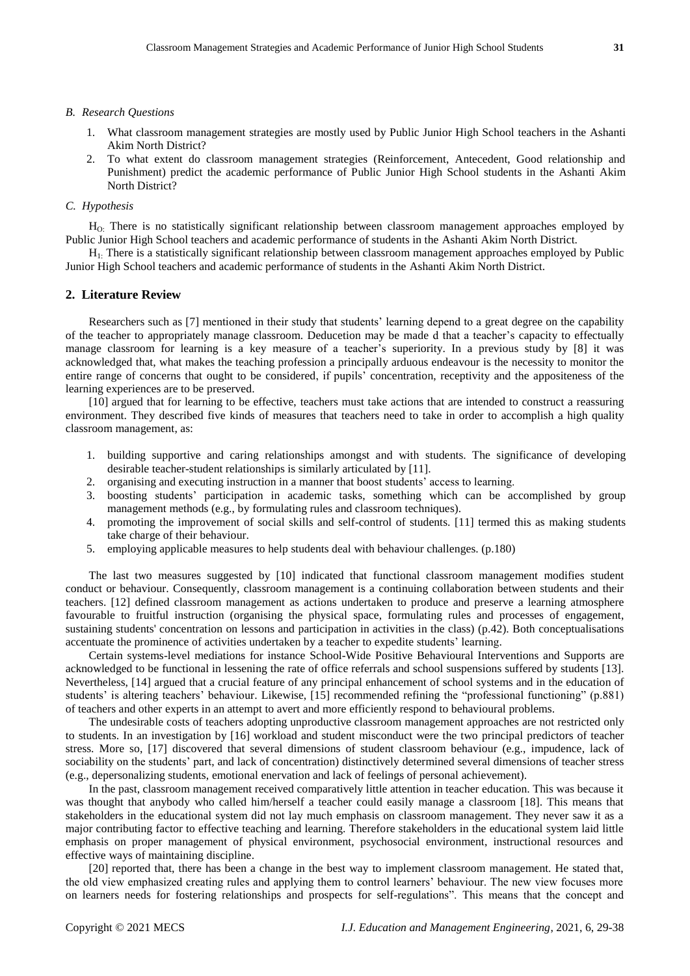## *B. Research Questions*

- 1. What classroom management strategies are mostly used by Public Junior High School teachers in the Ashanti Akim North District?
- 2. To what extent do classroom management strategies (Reinforcement, Antecedent, Good relationship and Punishment) predict the academic performance of Public Junior High School students in the Ashanti Akim North District?

#### *C. Hypothesis*

HO: There is no statistically significant relationship between classroom management approaches employed by Public Junior High School teachers and academic performance of students in the Ashanti Akim North District.

H1: There is a statistically significant relationship between classroom management approaches employed by Public Junior High School teachers and academic performance of students in the Ashanti Akim North District.

#### **2. Literature Review**

Researchers such as [7] mentioned in their study that students' learning depend to a great degree on the capability of the teacher to appropriately manage classroom. Deducetion may be made d that a teacher's capacity to effectually manage classroom for learning is a key measure of a teacher's superiority. In a previous study by [8] it was acknowledged that, what makes the teaching profession a principally arduous endeavour is the necessity to monitor the entire range of concerns that ought to be considered, if pupils' concentration, receptivity and the appositeness of the learning experiences are to be preserved.

[10] argued that for learning to be effective, teachers must take actions that are intended to construct a reassuring environment. They described five kinds of measures that teachers need to take in order to accomplish a high quality classroom management, as:

- 1. building supportive and caring relationships amongst and with students. The significance of developing desirable teacher-student relationships is similarly articulated by [11].
- 2. organising and executing instruction in a manner that boost students' access to learning.
- 3. boosting students' participation in academic tasks, something which can be accomplished by group management methods (e.g., by formulating rules and classroom techniques).
- 4. promoting the improvement of social skills and self-control of students. [11] termed this as making students take charge of their behaviour.
- 5. employing applicable measures to help students deal with behaviour challenges. (p.180)

The last two measures suggested by [10] indicated that functional classroom management modifies student conduct or behaviour. Consequently, classroom management is a continuing collaboration between students and their teachers. [12] defined classroom management as actions undertaken to produce and preserve a learning atmosphere favourable to fruitful instruction (organising the physical space, formulating rules and processes of engagement, sustaining students' concentration on lessons and participation in activities in the class) (p.42). Both conceptualisations accentuate the prominence of activities undertaken by a teacher to expedite students' learning.

Certain systems-level mediations for instance School-Wide Positive Behavioural Interventions and Supports are acknowledged to be functional in lessening the rate of office referrals and school suspensions suffered by students [13]. Nevertheless, [14] argued that a crucial feature of any principal enhancement of school systems and in the education of students' is altering teachers' behaviour. Likewise, [15] recommended refining the "professional functioning" (p.881) of teachers and other experts in an attempt to avert and more efficiently respond to behavioural problems.

The undesirable costs of teachers adopting unproductive classroom management approaches are not restricted only to students. In an investigation by [16] workload and student misconduct were the two principal predictors of teacher stress. More so, [17] discovered that several dimensions of student classroom behaviour (e.g., impudence, lack of sociability on the students' part, and lack of concentration) distinctively determined several dimensions of teacher stress (e.g., depersonalizing students, emotional enervation and lack of feelings of personal achievement).

In the past, classroom management received comparatively little attention in teacher education. This was because it was thought that anybody who called him/herself a teacher could easily manage a classroom [18]. This means that stakeholders in the educational system did not lay much emphasis on classroom management. They never saw it as a major contributing factor to effective teaching and learning. Therefore stakeholders in the educational system laid little emphasis on proper management of physical environment, psychosocial environment, instructional resources and effective ways of maintaining discipline.

[20] reported that, there has been a change in the best way to implement classroom management. He stated that, the old view emphasized creating rules and applying them to control learners' behaviour. The new view focuses more on learners needs for fostering relationships and prospects for self-regulations". This means that the concept and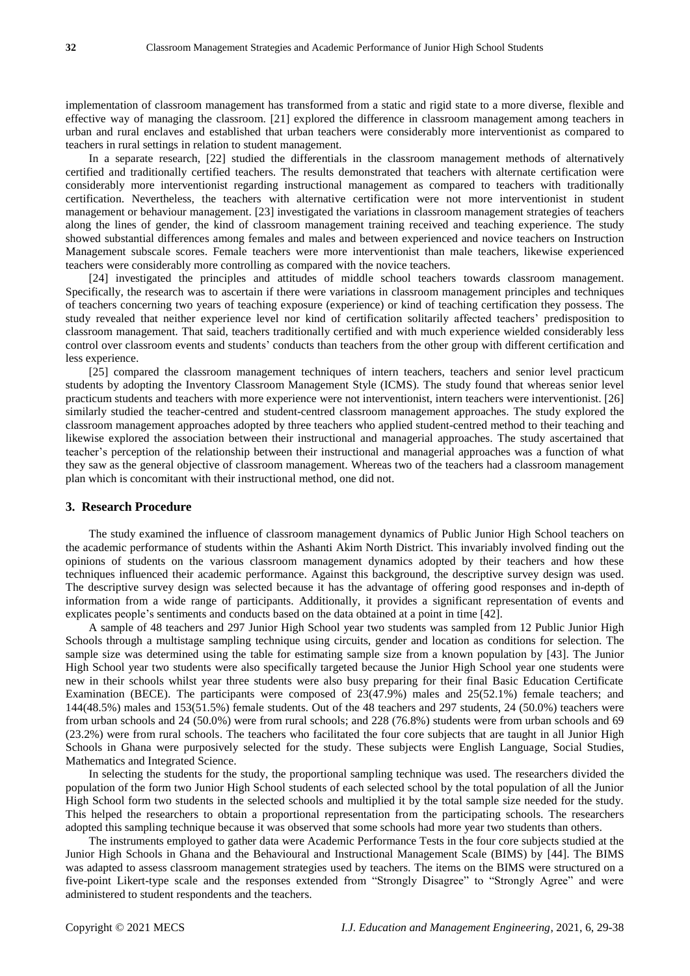implementation of classroom management has transformed from a static and rigid state to a more diverse, flexible and effective way of managing the classroom. [21] explored the difference in classroom management among teachers in urban and rural enclaves and established that urban teachers were considerably more interventionist as compared to teachers in rural settings in relation to student management.

In a separate research, [22] studied the differentials in the classroom management methods of alternatively certified and traditionally certified teachers. The results demonstrated that teachers with alternate certification were considerably more interventionist regarding instructional management as compared to teachers with traditionally certification. Nevertheless, the teachers with alternative certification were not more interventionist in student management or behaviour management. [23] investigated the variations in classroom management strategies of teachers along the lines of gender, the kind of classroom management training received and teaching experience. The study showed substantial differences among females and males and between experienced and novice teachers on Instruction Management subscale scores. Female teachers were more interventionist than male teachers, likewise experienced teachers were considerably more controlling as compared with the novice teachers.

[24] investigated the principles and attitudes of middle school teachers towards classroom management. Specifically, the research was to ascertain if there were variations in classroom management principles and techniques of teachers concerning two years of teaching exposure (experience) or kind of teaching certification they possess. The study revealed that neither experience level nor kind of certification solitarily affected teachers' predisposition to classroom management. That said, teachers traditionally certified and with much experience wielded considerably less control over classroom events and students' conducts than teachers from the other group with different certification and less experience.

[25] compared the classroom management techniques of intern teachers, teachers and senior level practicum students by adopting the Inventory Classroom Management Style (ICMS). The study found that whereas senior level practicum students and teachers with more experience were not interventionist, intern teachers were interventionist. [26] similarly studied the teacher-centred and student-centred classroom management approaches. The study explored the classroom management approaches adopted by three teachers who applied student-centred method to their teaching and likewise explored the association between their instructional and managerial approaches. The study ascertained that teacher's perception of the relationship between their instructional and managerial approaches was a function of what they saw as the general objective of classroom management. Whereas two of the teachers had a classroom management plan which is concomitant with their instructional method, one did not.

#### **3. Research Procedure**

The study examined the influence of classroom management dynamics of Public Junior High School teachers on the academic performance of students within the Ashanti Akim North District. This invariably involved finding out the opinions of students on the various classroom management dynamics adopted by their teachers and how these techniques influenced their academic performance. Against this background, the descriptive survey design was used. The descriptive survey design was selected because it has the advantage of offering good responses and in-depth of information from a wide range of participants. Additionally, it provides a significant representation of events and explicates people's sentiments and conducts based on the data obtained at a point in time [42].

A sample of 48 teachers and 297 Junior High School year two students was sampled from 12 Public Junior High Schools through a multistage sampling technique using circuits, gender and location as conditions for selection. The sample size was determined using the table for estimating sample size from a known population by [43]. The Junior High School year two students were also specifically targeted because the Junior High School year one students were new in their schools whilst year three students were also busy preparing for their final Basic Education Certificate Examination (BECE). The participants were composed of 23(47.9%) males and 25(52.1%) female teachers; and 144(48.5%) males and 153(51.5%) female students. Out of the 48 teachers and 297 students, 24 (50.0%) teachers were from urban schools and 24 (50.0%) were from rural schools; and 228 (76.8%) students were from urban schools and 69 (23.2%) were from rural schools. The teachers who facilitated the four core subjects that are taught in all Junior High Schools in Ghana were purposively selected for the study. These subjects were English Language, Social Studies, Mathematics and Integrated Science.

In selecting the students for the study, the proportional sampling technique was used. The researchers divided the population of the form two Junior High School students of each selected school by the total population of all the Junior High School form two students in the selected schools and multiplied it by the total sample size needed for the study. This helped the researchers to obtain a proportional representation from the participating schools. The researchers adopted this sampling technique because it was observed that some schools had more year two students than others.

The instruments employed to gather data were Academic Performance Tests in the four core subjects studied at the Junior High Schools in Ghana and the Behavioural and Instructional Management Scale (BIMS) by [44]. The BIMS was adapted to assess classroom management strategies used by teachers. The items on the BIMS were structured on a five-point Likert-type scale and the responses extended from "Strongly Disagree" to "Strongly Agree" and were administered to student respondents and the teachers.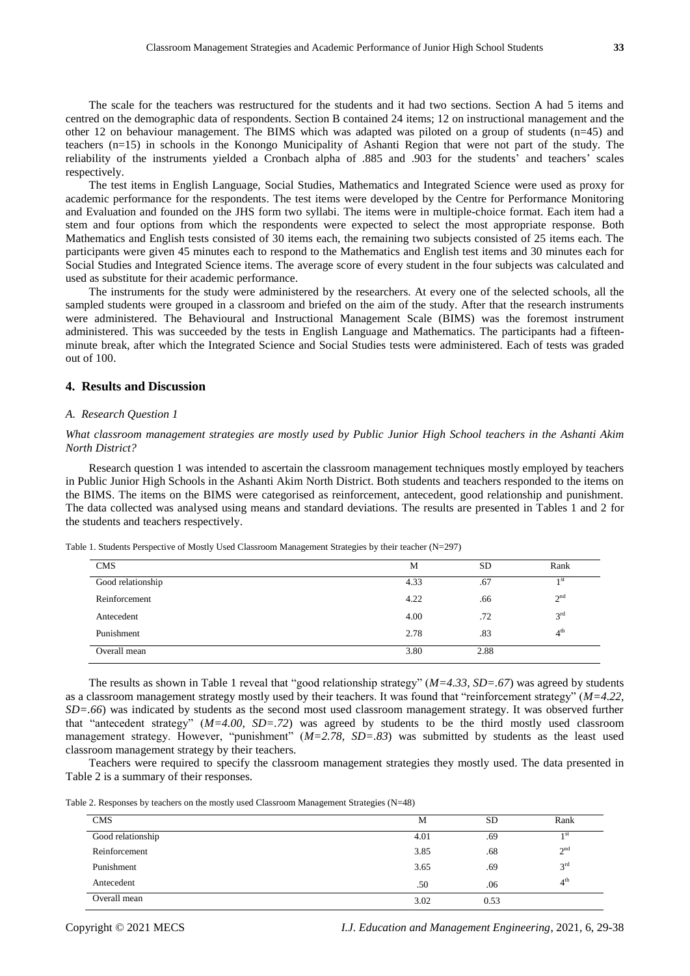The scale for the teachers was restructured for the students and it had two sections. Section A had 5 items and centred on the demographic data of respondents. Section B contained 24 items; 12 on instructional management and the other 12 on behaviour management. The BIMS which was adapted was piloted on a group of students (n=45) and teachers (n=15) in schools in the Konongo Municipality of Ashanti Region that were not part of the study. The reliability of the instruments yielded a Cronbach alpha of .885 and .903 for the students' and teachers' scales respectively.

The test items in English Language, Social Studies, Mathematics and Integrated Science were used as proxy for academic performance for the respondents. The test items were developed by the Centre for Performance Monitoring and Evaluation and founded on the JHS form two syllabi. The items were in multiple-choice format. Each item had a stem and four options from which the respondents were expected to select the most appropriate response. Both Mathematics and English tests consisted of 30 items each, the remaining two subjects consisted of 25 items each. The participants were given 45 minutes each to respond to the Mathematics and English test items and 30 minutes each for Social Studies and Integrated Science items. The average score of every student in the four subjects was calculated and used as substitute for their academic performance.

The instruments for the study were administered by the researchers. At every one of the selected schools, all the sampled students were grouped in a classroom and briefed on the aim of the study. After that the research instruments were administered. The Behavioural and Instructional Management Scale (BIMS) was the foremost instrument administered. This was succeeded by the tests in English Language and Mathematics. The participants had a fifteenminute break, after which the Integrated Science and Social Studies tests were administered. Each of tests was graded out of 100.

# **4. Results and Discussion**

## *A. Research Question 1*

*What classroom management strategies are mostly used by Public Junior High School teachers in the Ashanti Akim North District?*

Research question 1 was intended to ascertain the classroom management techniques mostly employed by teachers in Public Junior High Schools in the Ashanti Akim North District. Both students and teachers responded to the items on the BIMS. The items on the BIMS were categorised as reinforcement, antecedent, good relationship and punishment. The data collected was analysed using means and standard deviations. The results are presented in Tables 1 and 2 for the students and teachers respectively.

|  |  | Table 1. Students Perspective of Mostly Used Classroom Management Strategies by their teacher $(N=297)$ |
|--|--|---------------------------------------------------------------------------------------------------------|
|  |  |                                                                                                         |

| <b>CMS</b>        | М    | SD   | Rank            |
|-------------------|------|------|-----------------|
| Good relationship | 4.33 | .67  | 1 <sup>st</sup> |
| Reinforcement     | 4.22 | .66  | 2 <sup>nd</sup> |
| Antecedent        | 4.00 | .72  | $3^{\rm rd}$    |
| Punishment        | 2.78 | .83  | 4 <sup>th</sup> |
| Overall mean      | 3.80 | 2.88 |                 |

The results as shown in Table 1 reveal that "good relationship strategy" (*M=4.33, SD=.67*) was agreed by students as a classroom management strategy mostly used by their teachers. It was found that "reinforcement strategy" (*M=4.22, SD=.66*) was indicated by students as the second most used classroom management strategy. It was observed further that "antecedent strategy" (*M=4.00, SD=.72*) was agreed by students to be the third mostly used classroom management strategy. However, "punishment" (*M=2.78, SD=.83*) was submitted by students as the least used classroom management strategy by their teachers.

Teachers were required to specify the classroom management strategies they mostly used. The data presented in Table 2 is a summary of their responses.

Table 2. Responses by teachers on the mostly used Classroom Management Strategies (N=48)

| <b>CMS</b>        | M    | <b>SD</b> | Rank            |
|-------------------|------|-----------|-----------------|
| Good relationship | 4.01 | .69       | 1 <sup>st</sup> |
| Reinforcement     | 3.85 | .68       | 2 <sup>nd</sup> |
| Punishment        | 3.65 | .69       | 3 <sup>rd</sup> |
| Antecedent        | .50  | .06       | 4 <sup>th</sup> |
| Overall mean      | 3.02 | 0.53      |                 |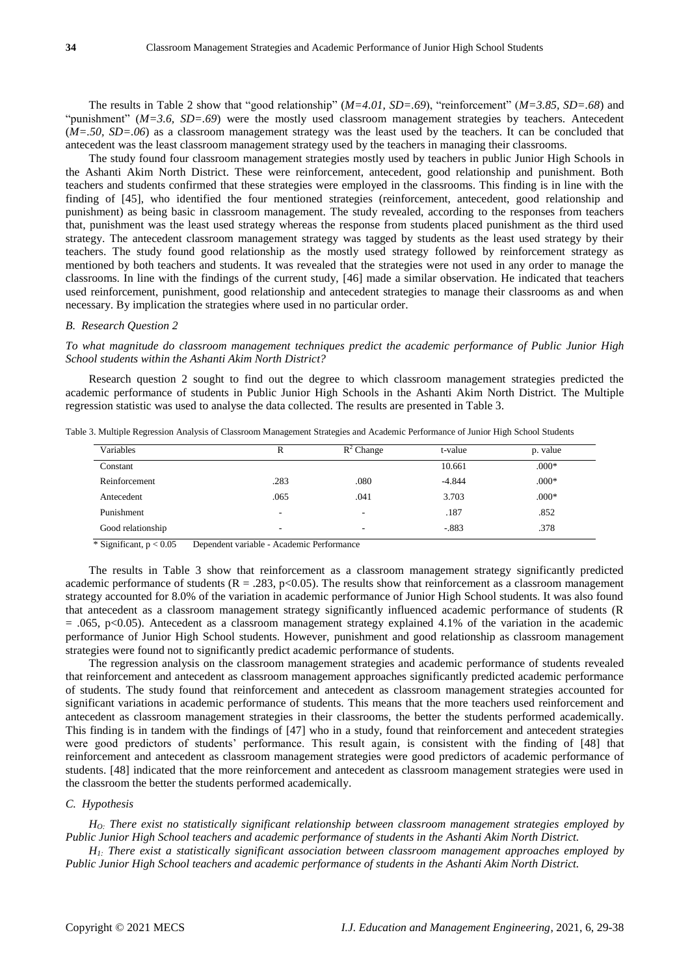The results in Table 2 show that "good relationship" (*M=4.01, SD=.69*), "reinforcement" (*M=3.85, SD=.68*) and "punishment" (*M=3.6, SD=.69*) were the mostly used classroom management strategies by teachers. Antecedent (*M=.50, SD=.06*) as a classroom management strategy was the least used by the teachers. It can be concluded that antecedent was the least classroom management strategy used by the teachers in managing their classrooms.

The study found four classroom management strategies mostly used by teachers in public Junior High Schools in the Ashanti Akim North District. These were reinforcement, antecedent, good relationship and punishment. Both teachers and students confirmed that these strategies were employed in the classrooms. This finding is in line with the finding of [45], who identified the four mentioned strategies (reinforcement, antecedent, good relationship and punishment) as being basic in classroom management. The study revealed, according to the responses from teachers that, punishment was the least used strategy whereas the response from students placed punishment as the third used strategy. The antecedent classroom management strategy was tagged by students as the least used strategy by their teachers. The study found good relationship as the mostly used strategy followed by reinforcement strategy as mentioned by both teachers and students. It was revealed that the strategies were not used in any order to manage the classrooms. In line with the findings of the current study, [46] made a similar observation. He indicated that teachers used reinforcement, punishment, good relationship and antecedent strategies to manage their classrooms as and when necessary. By implication the strategies where used in no particular order.

### *B. Research Question 2*

*To what magnitude do classroom management techniques predict the academic performance of Public Junior High School students within the Ashanti Akim North District?*

Research question 2 sought to find out the degree to which classroom management strategies predicted the academic performance of students in Public Junior High Schools in the Ashanti Akim North District. The Multiple regression statistic was used to analyse the data collected. The results are presented in Table 3.

| R                        | $R^2$ Change | t-value  | p. value |
|--------------------------|--------------|----------|----------|
|                          |              | 10.661   | $.000*$  |
| .283                     | .080         | $-4.844$ | $.000*$  |
| .065                     | .041         | 3.703    | $.000*$  |
| $\overline{\phantom{a}}$ |              | .187     | .852     |
| $\overline{\phantom{a}}$ |              | $-.883$  | .378     |
|                          |              |          |          |

Table 3. Multiple Regression Analysis of Classroom Management Strategies and Academic Performance of Junior High School Students

 $*$  Significant,  $p < 0.05$  Dependent variable - Academic Performance

The results in Table 3 show that reinforcement as a classroom management strategy significantly predicted academic performance of students ( $R = .283$ ,  $p < 0.05$ ). The results show that reinforcement as a classroom management strategy accounted for 8.0% of the variation in academic performance of Junior High School students. It was also found that antecedent as a classroom management strategy significantly influenced academic performance of students (R  $= .065$ , p<0.05). Antecedent as a classroom management strategy explained 4.1% of the variation in the academic performance of Junior High School students. However, punishment and good relationship as classroom management strategies were found not to significantly predict academic performance of students.

The regression analysis on the classroom management strategies and academic performance of students revealed that reinforcement and antecedent as classroom management approaches significantly predicted academic performance of students. The study found that reinforcement and antecedent as classroom management strategies accounted for significant variations in academic performance of students. This means that the more teachers used reinforcement and antecedent as classroom management strategies in their classrooms, the better the students performed academically. This finding is in tandem with the findings of [47] who in a study, found that reinforcement and antecedent strategies were good predictors of students' performance. This result again, is consistent with the finding of [48] that reinforcement and antecedent as classroom management strategies were good predictors of academic performance of students. [48] indicated that the more reinforcement and antecedent as classroom management strategies were used in the classroom the better the students performed academically.

#### *C. Hypothesis*

*HO: There exist no statistically significant relationship between classroom management strategies employed by Public Junior High School teachers and academic performance of students in the Ashanti Akim North District.*

*H1: There exist a statistically significant association between classroom management approaches employed by Public Junior High School teachers and academic performance of students in the Ashanti Akim North District.*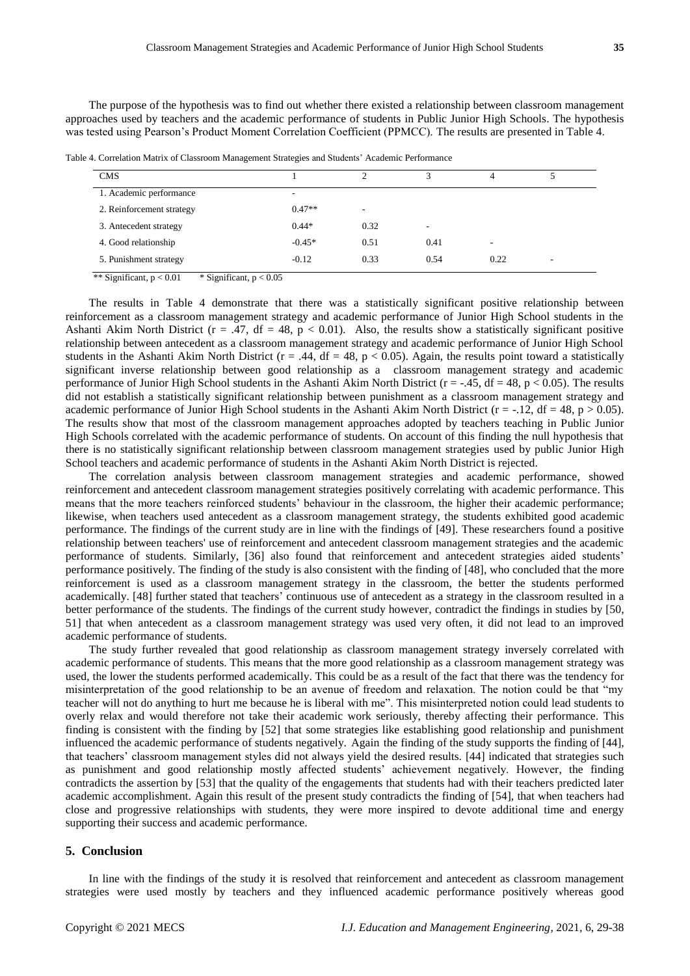The purpose of the hypothesis was to find out whether there existed a relationship between classroom management approaches used by teachers and the academic performance of students in Public Junior High Schools. The hypothesis was tested using Pearson's Product Moment Correlation Coefficient (PPMCC). The results are presented in Table 4.

Table 4. Correlation Matrix of Classroom Management Strategies and Students' Academic Performance

| <b>CMS</b>                |          |      | $\mathbf{\overline{3}}$  |      |  |
|---------------------------|----------|------|--------------------------|------|--|
| 1. Academic performance   | ۰.       |      |                          |      |  |
| 2. Reinforcement strategy | $0.47**$ | ۰    |                          |      |  |
| 3. Antecedent strategy    | $0.44*$  | 0.32 | $\overline{\phantom{a}}$ |      |  |
| 4. Good relationship      | $-0.45*$ | 0.51 | 0.41                     | ۰    |  |
| 5. Punishment strategy    | $-0.12$  | 0.33 | 0.54                     | 0.22 |  |

\*\* Significant,  $p < 0.01$  \* Significant,  $p < 0.05$ 

The results in Table 4 demonstrate that there was a statistically significant positive relationship between reinforcement as a classroom management strategy and academic performance of Junior High School students in the Ashanti Akim North District ( $r = .47$ , df = 48,  $p < 0.01$ ). Also, the results show a statistically significant positive relationship between antecedent as a classroom management strategy and academic performance of Junior High School students in the Ashanti Akim North District ( $r = .44$ ,  $df = 48$ ,  $p < 0.05$ ). Again, the results point toward a statistically significant inverse relationship between good relationship as a classroom management strategy and academic performance of Junior High School students in the Ashanti Akim North District ( $r = -0.45$ ,  $df = 48$ ,  $p < 0.05$ ). The results did not establish a statistically significant relationship between punishment as a classroom management strategy and academic performance of Junior High School students in the Ashanti Akim North District ( $r = -12$ , df = 48,  $p > 0.05$ ). The results show that most of the classroom management approaches adopted by teachers teaching in Public Junior High Schools correlated with the academic performance of students. On account of this finding the null hypothesis that there is no statistically significant relationship between classroom management strategies used by public Junior High School teachers and academic performance of students in the Ashanti Akim North District is rejected.

The correlation analysis between classroom management strategies and academic performance, showed reinforcement and antecedent classroom management strategies positively correlating with academic performance. This means that the more teachers reinforced students' behaviour in the classroom, the higher their academic performance; likewise, when teachers used antecedent as a classroom management strategy, the students exhibited good academic performance. The findings of the current study are in line with the findings of [49]. These researchers found a positive relationship between teachers' use of reinforcement and antecedent classroom management strategies and the academic performance of students. Similarly, [36] also found that reinforcement and antecedent strategies aided students' performance positively. The finding of the study is also consistent with the finding of [48], who concluded that the more reinforcement is used as a classroom management strategy in the classroom, the better the students performed academically. [48] further stated that teachers' continuous use of antecedent as a strategy in the classroom resulted in a better performance of the students. The findings of the current study however, contradict the findings in studies by [50, 51] that when antecedent as a classroom management strategy was used very often, it did not lead to an improved academic performance of students.

The study further revealed that good relationship as classroom management strategy inversely correlated with academic performance of students. This means that the more good relationship as a classroom management strategy was used, the lower the students performed academically. This could be as a result of the fact that there was the tendency for misinterpretation of the good relationship to be an avenue of freedom and relaxation. The notion could be that "my teacher will not do anything to hurt me because he is liberal with me". This misinterpreted notion could lead students to overly relax and would therefore not take their academic work seriously, thereby affecting their performance. This finding is consistent with the finding by [52] that some strategies like establishing good relationship and punishment influenced the academic performance of students negatively. Again the finding of the study supports the finding of [44], that teachers' classroom management styles did not always yield the desired results. [44] indicated that strategies such as punishment and good relationship mostly affected students' achievement negatively. However, the finding contradicts the assertion by [53] that the quality of the engagements that students had with their teachers predicted later academic accomplishment. Again this result of the present study contradicts the finding of [54], that when teachers had close and progressive relationships with students, they were more inspired to devote additional time and energy supporting their success and academic performance.

## **5. Conclusion**

In line with the findings of the study it is resolved that reinforcement and antecedent as classroom management strategies were used mostly by teachers and they influenced academic performance positively whereas good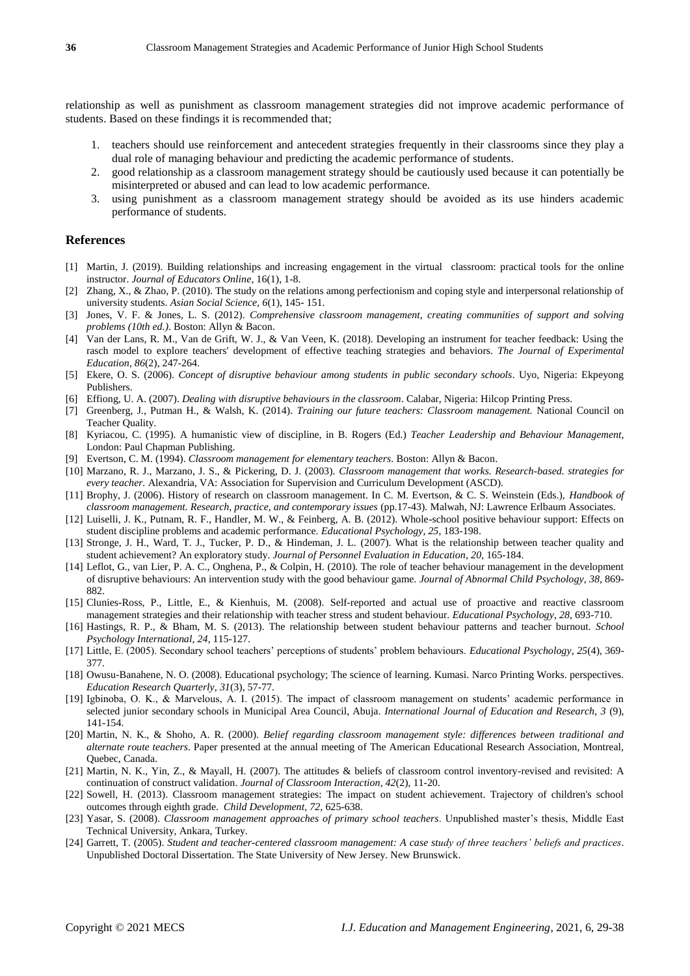relationship as well as punishment as classroom management strategies did not improve academic performance of students. Based on these findings it is recommended that;

- 1. teachers should use reinforcement and antecedent strategies frequently in their classrooms since they play a dual role of managing behaviour and predicting the academic performance of students.
- 2. good relationship as a classroom management strategy should be cautiously used because it can potentially be misinterpreted or abused and can lead to low academic performance.
- 3. using punishment as a classroom management strategy should be avoided as its use hinders academic performance of students.

## **References**

- [1] Martin, J. (2019). Building relationships and increasing engagement in the virtual classroom: practical tools for the online instructor. *Journal of Educators Online*, 16(1), 1-8.
- [2] Zhang, X., & Zhao, P. (2010). The study on the relations among perfectionism and coping style and interpersonal relationship of university students. *Asian Social Science, 6*(1), 145- 151.
- [3] Jones, V. F. & Jones, L. S. (2012). *Comprehensive classroom management, creating communities of support and solving problems (10th ed.)*. Boston: Allyn & Bacon.
- [4] Van der Lans, R. M., Van de Grift, W. J., & Van Veen, K. (2018). Developing an instrument for teacher feedback: Using the rasch model to explore teachers' development of effective teaching strategies and behaviors. *The Journal of Experimental Education*, *86*(2), 247-264.
- [5] Ekere, O. S. (2006). *Concept of disruptive behaviour among students in public secondary schools*. Uyo, Nigeria: Ekpeyong Publishers.
- [6] Effiong, U. A. (2007). *Dealing with disruptive behaviours in the classroom*. Calabar, Nigeria: Hilcop Printing Press.
- [7] Greenberg, J., Putman H., & Walsh, K. (2014). *Training our future teachers: Classroom management.* National Council on Teacher Quality.
- [8] Kyriacou, C. (1995). A humanistic view of discipline, in B. Rogers (Ed.) *Teacher Leadership and Behaviour Management*, London: Paul Chapman Publishing.
- [9] Evertson, C. M. (1994). *Classroom management for elementary teachers*. Boston: Allyn & Bacon.
- [10] Marzano, R. J., Marzano, J. S., & Pickering, D. J. (2003). *Classroom management that works. Research-based. strategies for every teacher.* Alexandria, VA: Association for Supervision and Curriculum Development (ASCD).
- [11] Brophy, J. (2006). History of research on classroom management. In C. M. Evertson, & C. S. Weinstein (Eds.), *Handbook of classroom management. Research, practice, and contemporary issues* (pp.17-43)*.* Malwah, NJ: Lawrence Erlbaum Associates.
- [12] Luiselli, J. K., Putnam, R. F., Handler, M. W., & Feinberg, A. B. (2012). Whole-school positive behaviour support: Effects on student discipline problems and academic performance. *Educational Psychology*, *25*, 183-198.
- [13] Stronge, J. H., Ward, T. J., Tucker, P. D., & Hindeman, J. L. (2007). What is the relationship between teacher quality and student achievement? An exploratory study. *Journal of Personnel Evaluation in Education*, *20*, 165-184.
- [14] Leflot, G., van Lier, P. A. C., Onghena, P., & Colpin, H. (2010). The role of teacher behaviour management in the development of disruptive behaviours: An intervention study with the good behaviour game. *Journal of Abnormal Child Psychology*, *38*, 869- 882.
- [15] Clunies-Ross, P., Little, E., & Kienhuis, M. (2008). Self-reported and actual use of proactive and reactive classroom management strategies and their relationship with teacher stress and student behaviour. *Educational Psychology*, *28*, 693-710.
- [16] Hastings, R. P., & Bham, M. S. (2013). The relationship between student behaviour patterns and teacher burnout. *School Psychology International*, *24*, 115-127.
- [17] Little, E. (2005). Secondary school teachers' perceptions of students' problem behaviours. *Educational Psychology*, *25*(4), 369- 377.
- [18] Owusu-Banahene, N. O. (2008). Educational psychology; The science of learning. Kumasi. Narco Printing Works. perspectives. *Education Research Quarterly, 31*(3), 57-77.
- [19] Igbinoba, O. K., & Marvelous, A. I. (2015). The impact of classroom management on students' academic performance in selected junior secondary schools in Municipal Area Council, Abuja. *International Journal of Education and Research, 3* (9), 141-154.
- [20] Martin, N. K., & Shoho, A. R. (2000). *Belief regarding classroom management style: differences between traditional and alternate route teachers*. Paper presented at the annual meeting of The American Educational Research Association, Montreal, Quebec, Canada.
- [21] Martin, N. K., Yin, Z., & Mayall, H. (2007). The attitudes & beliefs of classroom control inventory-revised and revisited: A continuation of construct validation. *Journal of Classroom Interaction, 42*(2), 11-20.
- [22] Sowell, H. (2013). Classroom management strategies: The impact on student achievement. Trajectory of children's school outcomes through eighth grade. *Child Development, 72,* 625-638.
- [23] Yasar, S. (2008). *Classroom management approaches of primary school teachers*. Unpublished master's thesis, Middle East Technical University, Ankara, Turkey.
- [24] Garrett, T. (2005). *Student and teacher-centered classroom management: A case study of three teachers' beliefs and practices*. Unpublished Doctoral Dissertation. The State University of New Jersey. New Brunswick.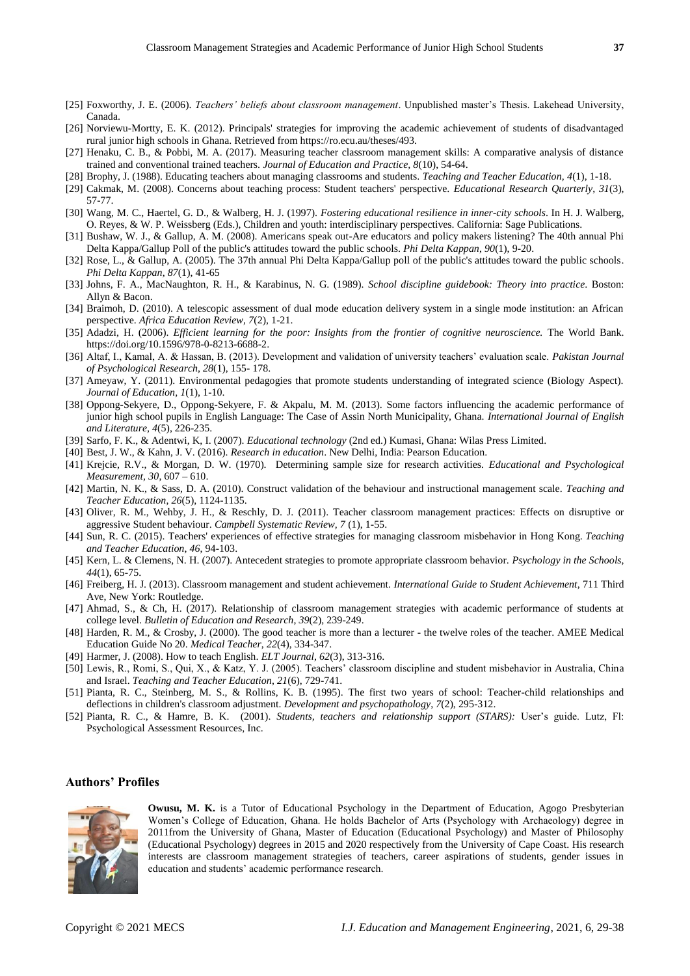- [25] Foxworthy, J. E. (2006). *Teachers' beliefs about classroom management*. Unpublished master's Thesis. Lakehead University, Canada.
- [26] Norviewu-Mortty, E. K. (2012). Principals' strategies for improving the academic achievement of students of disadvantaged rural junior high schools in Ghana. Retrieved from https://ro.ecu.au/theses/493.
- [27] Henaku, C. B., & Pobbi, M. A. (2017). Measuring teacher classroom management skills: A comparative analysis of distance trained and conventional trained teachers. *Journal of Education and Practice, 8*(10), 54-64.
- [28] Brophy, J. (1988). Educating teachers about managing classrooms and students. *Teaching and Teacher Education, 4*(1), 1-18.
- [29] Cakmak, M. (2008). Concerns about teaching process: Student teachers' perspective. *Educational Research Quarterly*, *31*(3), 57-77.
- [30] Wang, M. C., Haertel, G. D., & Walberg, H. J. (1997). *Fostering educational resilience in inner-city schools*. In H. J. Walberg, O. Reyes, & W. P. Weissberg (Eds.), Children and youth: interdisciplinary perspectives. California: Sage Publications.
- [31] Bushaw, W. J., & Gallup, A. M. (2008). Americans speak out-Are educators and policy makers listening? The 40th annual Phi Delta Kappa/Gallup Poll of the public's attitudes toward the public schools. *Phi Delta Kappan*, *90*(1), 9-20.
- [32] Rose, L., & Gallup, A. (2005). The 37th annual Phi Delta Kappa/Gallup poll of the public's attitudes toward the public schools. *Phi Delta Kappan*, *87*(1), 41-65
- [33] Johns, F. A., MacNaughton, R. H., & Karabinus, N. G. (1989). *School discipline guidebook: Theory into practice*. Boston: Allyn & Bacon.
- [34] Braimoh, D. (2010). A telescopic assessment of dual mode education delivery system in a single mode institution: an African perspective. *Africa Education Review, 7*(2), 1-21.
- [35] Adadzi, H. (2006). *Efficient learning for the poor: Insights from the frontier of cognitive neuroscience.* The World Bank. https://doi.org/10.1596/978-0-8213-6688-2.
- [36] Altaf, I., Kamal, A. & Hassan, B. (2013). Development and validation of university teachers' evaluation scale. *Pakistan Journal of Psychological Research*, *28*(1), 155- 178.
- [37] Ameyaw, Y. (2011). Environmental pedagogies that promote students understanding of integrated science (Biology Aspect). *Journal of Education, 1*(1), 1-10.
- [38] Oppong-Sekyere, D., Oppong-Sekyere, F. & Akpalu, M. M. (2013). Some factors influencing the academic performance of junior high school pupils in English Language: The Case of Assin North Municipality, Ghana. *International Journal of English and Literature, 4*(5), 226-235.
- [39] Sarfo, F. K., & Adentwi, K, I. (2007). *Educational technology* (2nd ed.) Kumasi, Ghana: Wilas Press Limited.
- [40] Best, J. W., & Kahn, J. V. (2016). *Research in education*. New Delhi, India: Pearson Education.
- [41] Krejcie, R.V., & Morgan, D. W. (1970). Determining sample size for research activities. *Educational and Psychological Measurement, 30*, 607 – 610.
- [42] Martin, N. K., & Sass, D. A. (2010). Construct validation of the behaviour and instructional management scale. *Teaching and Teacher Education*, *26*(5), 1124-1135.
- [43] Oliver, R. M., Wehby, J. H., & Reschly, D. J. (2011). Teacher classroom management practices: Effects on disruptive or aggressive Student behaviour. *Campbell Systematic Review, 7* (1), 1-55.
- [44] Sun, R. C. (2015). Teachers' experiences of effective strategies for managing classroom misbehavior in Hong Kong. *Teaching and Teacher Education*, *46*, 94-103.
- [45] Kern, L. & Clemens, N. H. (2007). Antecedent strategies to promote appropriate classroom behavior. *Psychology in the Schools*, *44*(1), 65-75.
- [46] Freiberg, H. J. (2013). Classroom management and student achievement. *International Guide to Student Achievement*, 711 Third Ave, New York: Routledge.
- [47] Ahmad, S., & Ch, H. (2017). Relationship of classroom management strategies with academic performance of students at college level. *Bulletin of Education and Research*, *39*(2), 239-249.
- [48] Harden, R. M., & Crosby, J. (2000). The good teacher is more than a lecturer the twelve roles of the teacher. AMEE Medical Education Guide No 20. *Medical Teacher*, *22*(4), 334-347.
- [49] Harmer, J. (2008). How to teach English. *ELT Journal*, *62*(3), 313-316.
- [50] Lewis, R., Romi, S., Qui, X., & Katz, Y. J. (2005). Teachers' classroom discipline and student misbehavior in Australia, China and Israel. *Teaching and Teacher Education*, *21*(6), 729-741.
- [51] Pianta, R. C., Steinberg, M. S., & Rollins, K. B. (1995). The first two years of school: Teacher-child relationships and deflections in children's classroom adjustment. *Development and psychopathology*, *7*(2), 295-312.
- [52] Pianta, R. C., & Hamre, B. K. (2001). *Students, teachers and relationship support (STARS):* User's guide. Lutz, Fl: Psychological Assessment Resources, Inc.

## **Authors' Profiles**



**Owusu, M. K.** is a Tutor of Educational Psychology in the Department of Education, Agogo Presbyterian Women's College of Education, Ghana. He holds Bachelor of Arts (Psychology with Archaeology) degree in 2011from the University of Ghana, Master of Education (Educational Psychology) and Master of Philosophy (Educational Psychology) degrees in 2015 and 2020 respectively from the University of Cape Coast. His research interests are classroom management strategies of teachers, career aspirations of students, gender issues in education and students' academic performance research.